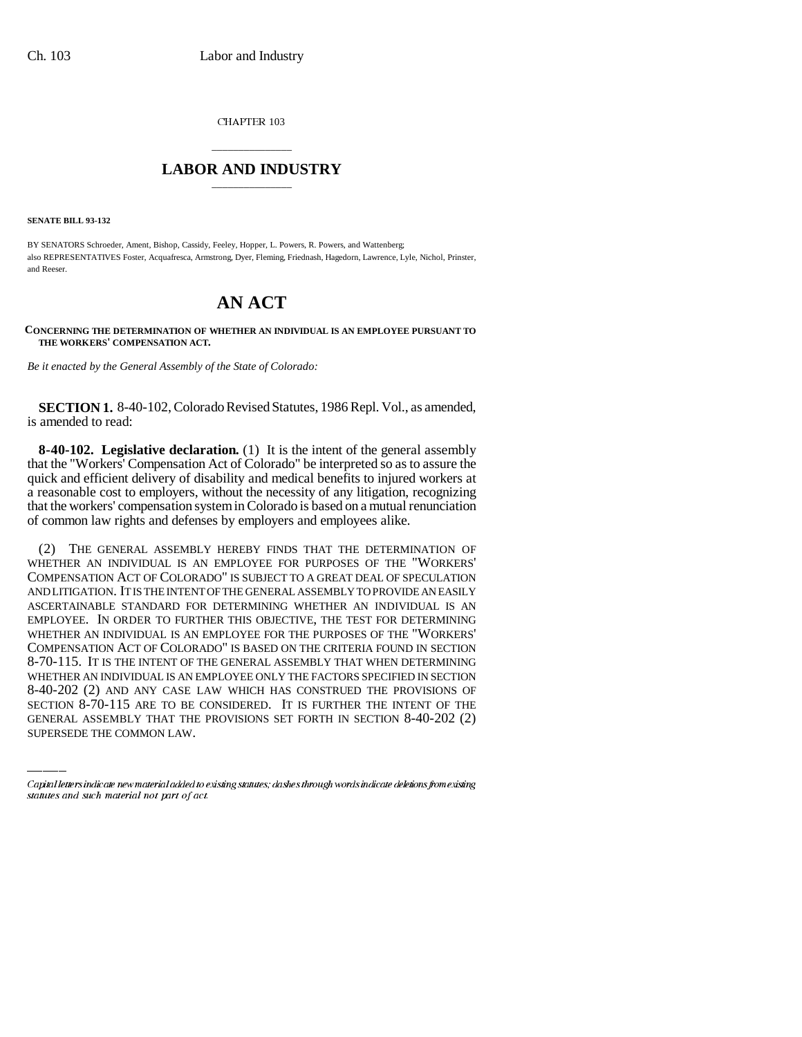CHAPTER 103

## \_\_\_\_\_\_\_\_\_\_\_\_\_\_\_ **LABOR AND INDUSTRY** \_\_\_\_\_\_\_\_\_\_\_\_\_\_\_

**SENATE BILL 93-132**

BY SENATORS Schroeder, Ament, Bishop, Cassidy, Feeley, Hopper, L. Powers, R. Powers, and Wattenberg; also REPRESENTATIVES Foster, Acquafresca, Armstrong, Dyer, Fleming, Friednash, Hagedorn, Lawrence, Lyle, Nichol, Prinster, and Reeser.

## **AN ACT**

**CONCERNING THE DETERMINATION OF WHETHER AN INDIVIDUAL IS AN EMPLOYEE PURSUANT TO THE WORKERS' COMPENSATION ACT.**

*Be it enacted by the General Assembly of the State of Colorado:*

**SECTION 1.** 8-40-102, Colorado Revised Statutes, 1986 Repl. Vol., as amended, is amended to read:

**8-40-102. Legislative declaration.** (1) It is the intent of the general assembly that the "Workers' Compensation Act of Colorado" be interpreted so as to assure the quick and efficient delivery of disability and medical benefits to injured workers at a reasonable cost to employers, without the necessity of any litigation, recognizing that the workers' compensation system in Colorado is based on a mutual renunciation of common law rights and defenses by employers and employees alike.

WHETHER AN INDIVIDUAL IS AN EMPLOYEE ONLY THE FACTORS SPECIFIED IN SECTION (2) THE GENERAL ASSEMBLY HEREBY FINDS THAT THE DETERMINATION OF WHETHER AN INDIVIDUAL IS AN EMPLOYEE FOR PURPOSES OF THE "WORKERS' COMPENSATION ACT OF COLORADO" IS SUBJECT TO A GREAT DEAL OF SPECULATION AND LITIGATION. IT IS THE INTENT OF THE GENERAL ASSEMBLY TO PROVIDE AN EASILY ASCERTAINABLE STANDARD FOR DETERMINING WHETHER AN INDIVIDUAL IS AN EMPLOYEE. IN ORDER TO FURTHER THIS OBJECTIVE, THE TEST FOR DETERMINING WHETHER AN INDIVIDUAL IS AN EMPLOYEE FOR THE PURPOSES OF THE "WORKERS' COMPENSATION ACT OF COLORADO" IS BASED ON THE CRITERIA FOUND IN SECTION 8-70-115. IT IS THE INTENT OF THE GENERAL ASSEMBLY THAT WHEN DETERMINING 8-40-202 (2) AND ANY CASE LAW WHICH HAS CONSTRUED THE PROVISIONS OF SECTION 8-70-115 ARE TO BE CONSIDERED. IT IS FURTHER THE INTENT OF THE GENERAL ASSEMBLY THAT THE PROVISIONS SET FORTH IN SECTION 8-40-202 (2) SUPERSEDE THE COMMON LAW.

Capital letters indicate new material added to existing statutes; dashes through words indicate deletions from existing statutes and such material not part of act.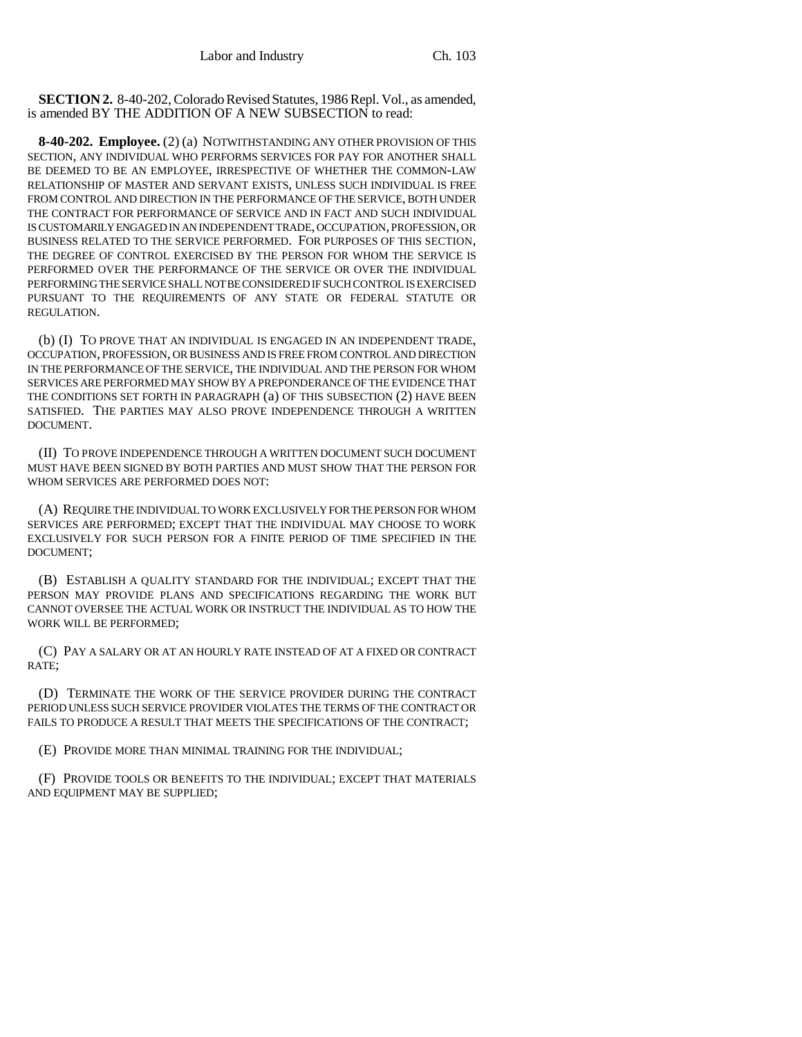**SECTION 2.** 8-40-202, Colorado Revised Statutes, 1986 Repl. Vol., as amended, is amended BY THE ADDITION OF A NEW SUBSECTION to read:

**8-40-202. Employee.** (2) (a) NOTWITHSTANDING ANY OTHER PROVISION OF THIS SECTION, ANY INDIVIDUAL WHO PERFORMS SERVICES FOR PAY FOR ANOTHER SHALL BE DEEMED TO BE AN EMPLOYEE, IRRESPECTIVE OF WHETHER THE COMMON-LAW RELATIONSHIP OF MASTER AND SERVANT EXISTS, UNLESS SUCH INDIVIDUAL IS FREE FROM CONTROL AND DIRECTION IN THE PERFORMANCE OF THE SERVICE, BOTH UNDER THE CONTRACT FOR PERFORMANCE OF SERVICE AND IN FACT AND SUCH INDIVIDUAL IS CUSTOMARILY ENGAGED IN AN INDEPENDENT TRADE, OCCUPATION, PROFESSION, OR BUSINESS RELATED TO THE SERVICE PERFORMED. FOR PURPOSES OF THIS SECTION, THE DEGREE OF CONTROL EXERCISED BY THE PERSON FOR WHOM THE SERVICE IS PERFORMED OVER THE PERFORMANCE OF THE SERVICE OR OVER THE INDIVIDUAL PERFORMING THE SERVICE SHALL NOT BE CONSIDERED IF SUCH CONTROL IS EXERCISED PURSUANT TO THE REQUIREMENTS OF ANY STATE OR FEDERAL STATUTE OR REGULATION.

(b) (I) TO PROVE THAT AN INDIVIDUAL IS ENGAGED IN AN INDEPENDENT TRADE, OCCUPATION, PROFESSION, OR BUSINESS AND IS FREE FROM CONTROL AND DIRECTION IN THE PERFORMANCE OF THE SERVICE, THE INDIVIDUAL AND THE PERSON FOR WHOM SERVICES ARE PERFORMED MAY SHOW BY A PREPONDERANCE OF THE EVIDENCE THAT THE CONDITIONS SET FORTH IN PARAGRAPH (a) OF THIS SUBSECTION (2) HAVE BEEN SATISFIED. THE PARTIES MAY ALSO PROVE INDEPENDENCE THROUGH A WRITTEN DOCUMENT.

(II) TO PROVE INDEPENDENCE THROUGH A WRITTEN DOCUMENT SUCH DOCUMENT MUST HAVE BEEN SIGNED BY BOTH PARTIES AND MUST SHOW THAT THE PERSON FOR WHOM SERVICES ARE PERFORMED DOES NOT:

(A) REQUIRE THE INDIVIDUAL TO WORK EXCLUSIVELY FOR THE PERSON FOR WHOM SERVICES ARE PERFORMED; EXCEPT THAT THE INDIVIDUAL MAY CHOOSE TO WORK EXCLUSIVELY FOR SUCH PERSON FOR A FINITE PERIOD OF TIME SPECIFIED IN THE DOCUMENT;

(B) ESTABLISH A QUALITY STANDARD FOR THE INDIVIDUAL; EXCEPT THAT THE PERSON MAY PROVIDE PLANS AND SPECIFICATIONS REGARDING THE WORK BUT CANNOT OVERSEE THE ACTUAL WORK OR INSTRUCT THE INDIVIDUAL AS TO HOW THE WORK WILL BE PERFORMED;

(C) PAY A SALARY OR AT AN HOURLY RATE INSTEAD OF AT A FIXED OR CONTRACT RATE;

(D) TERMINATE THE WORK OF THE SERVICE PROVIDER DURING THE CONTRACT PERIOD UNLESS SUCH SERVICE PROVIDER VIOLATES THE TERMS OF THE CONTRACT OR FAILS TO PRODUCE A RESULT THAT MEETS THE SPECIFICATIONS OF THE CONTRACT;

(E) PROVIDE MORE THAN MINIMAL TRAINING FOR THE INDIVIDUAL;

(F) PROVIDE TOOLS OR BENEFITS TO THE INDIVIDUAL; EXCEPT THAT MATERIALS AND EQUIPMENT MAY BE SUPPLIED;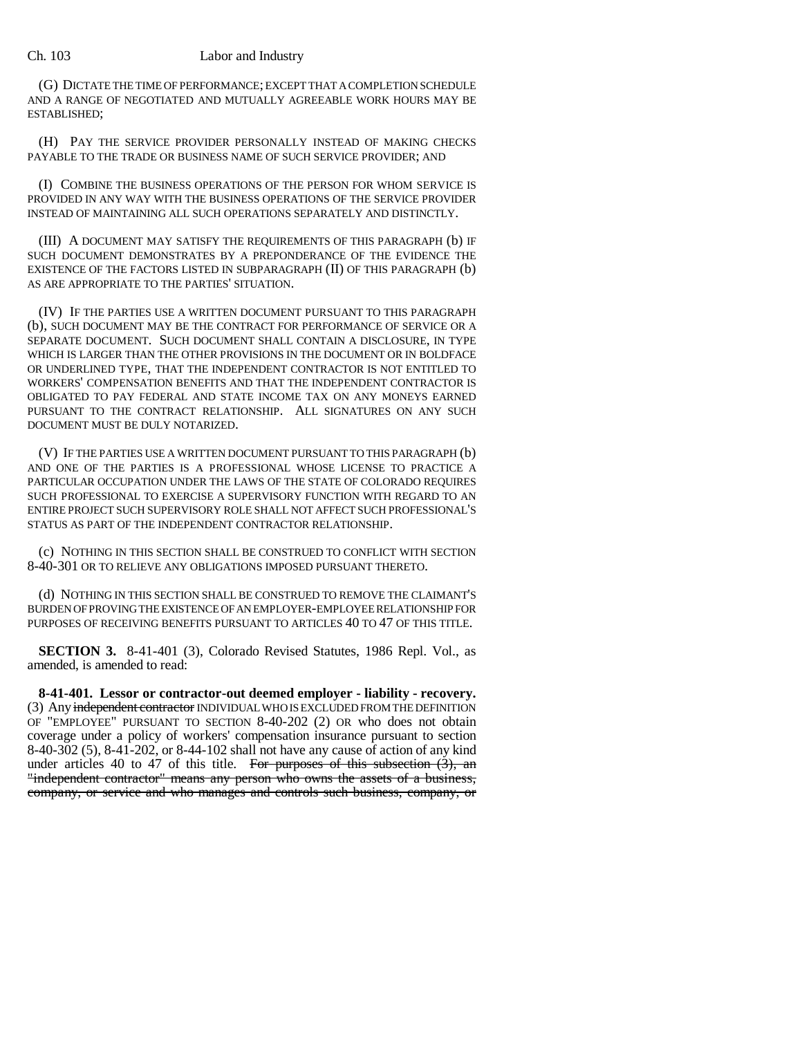## Ch. 103 Labor and Industry

(G) DICTATE THE TIME OF PERFORMANCE; EXCEPT THAT A COMPLETION SCHEDULE AND A RANGE OF NEGOTIATED AND MUTUALLY AGREEABLE WORK HOURS MAY BE ESTABLISHED;

(H) PAY THE SERVICE PROVIDER PERSONALLY INSTEAD OF MAKING CHECKS PAYABLE TO THE TRADE OR BUSINESS NAME OF SUCH SERVICE PROVIDER; AND

(I) COMBINE THE BUSINESS OPERATIONS OF THE PERSON FOR WHOM SERVICE IS PROVIDED IN ANY WAY WITH THE BUSINESS OPERATIONS OF THE SERVICE PROVIDER INSTEAD OF MAINTAINING ALL SUCH OPERATIONS SEPARATELY AND DISTINCTLY.

(III) A DOCUMENT MAY SATISFY THE REQUIREMENTS OF THIS PARAGRAPH (b) IF SUCH DOCUMENT DEMONSTRATES BY A PREPONDERANCE OF THE EVIDENCE THE EXISTENCE OF THE FACTORS LISTED IN SUBPARAGRAPH (II) OF THIS PARAGRAPH (b) AS ARE APPROPRIATE TO THE PARTIES' SITUATION.

(IV) IF THE PARTIES USE A WRITTEN DOCUMENT PURSUANT TO THIS PARAGRAPH (b), SUCH DOCUMENT MAY BE THE CONTRACT FOR PERFORMANCE OF SERVICE OR A SEPARATE DOCUMENT. SUCH DOCUMENT SHALL CONTAIN A DISCLOSURE, IN TYPE WHICH IS LARGER THAN THE OTHER PROVISIONS IN THE DOCUMENT OR IN BOLDFACE OR UNDERLINED TYPE, THAT THE INDEPENDENT CONTRACTOR IS NOT ENTITLED TO WORKERS' COMPENSATION BENEFITS AND THAT THE INDEPENDENT CONTRACTOR IS OBLIGATED TO PAY FEDERAL AND STATE INCOME TAX ON ANY MONEYS EARNED PURSUANT TO THE CONTRACT RELATIONSHIP. ALL SIGNATURES ON ANY SUCH DOCUMENT MUST BE DULY NOTARIZED.

(V) IF THE PARTIES USE A WRITTEN DOCUMENT PURSUANT TO THIS PARAGRAPH (b) AND ONE OF THE PARTIES IS A PROFESSIONAL WHOSE LICENSE TO PRACTICE A PARTICULAR OCCUPATION UNDER THE LAWS OF THE STATE OF COLORADO REQUIRES SUCH PROFESSIONAL TO EXERCISE A SUPERVISORY FUNCTION WITH REGARD TO AN ENTIRE PROJECT SUCH SUPERVISORY ROLE SHALL NOT AFFECT SUCH PROFESSIONAL'S STATUS AS PART OF THE INDEPENDENT CONTRACTOR RELATIONSHIP.

(c) NOTHING IN THIS SECTION SHALL BE CONSTRUED TO CONFLICT WITH SECTION 8-40-301 OR TO RELIEVE ANY OBLIGATIONS IMPOSED PURSUANT THERETO.

(d) NOTHING IN THIS SECTION SHALL BE CONSTRUED TO REMOVE THE CLAIMANT'S BURDEN OF PROVING THE EXISTENCE OF AN EMPLOYER-EMPLOYEE RELATIONSHIP FOR PURPOSES OF RECEIVING BENEFITS PURSUANT TO ARTICLES 40 TO 47 OF THIS TITLE.

**SECTION 3.** 8-41-401 (3), Colorado Revised Statutes, 1986 Repl. Vol., as amended, is amended to read:

**8-41-401. Lessor or contractor-out deemed employer - liability - recovery.** (3) Any independent contractor INDIVIDUAL WHO IS EXCLUDED FROM THE DEFINITION OF "EMPLOYEE" PURSUANT TO SECTION 8-40-202 (2) OR who does not obtain coverage under a policy of workers' compensation insurance pursuant to section 8-40-302 (5), 8-41-202, or 8-44-102 shall not have any cause of action of any kind under articles 40 to 47 of this title. For purposes of this subsection  $(3)$ , an "independent contractor" means any person who owns the assets of a business, company, or service and who manages and controls such business, company, or